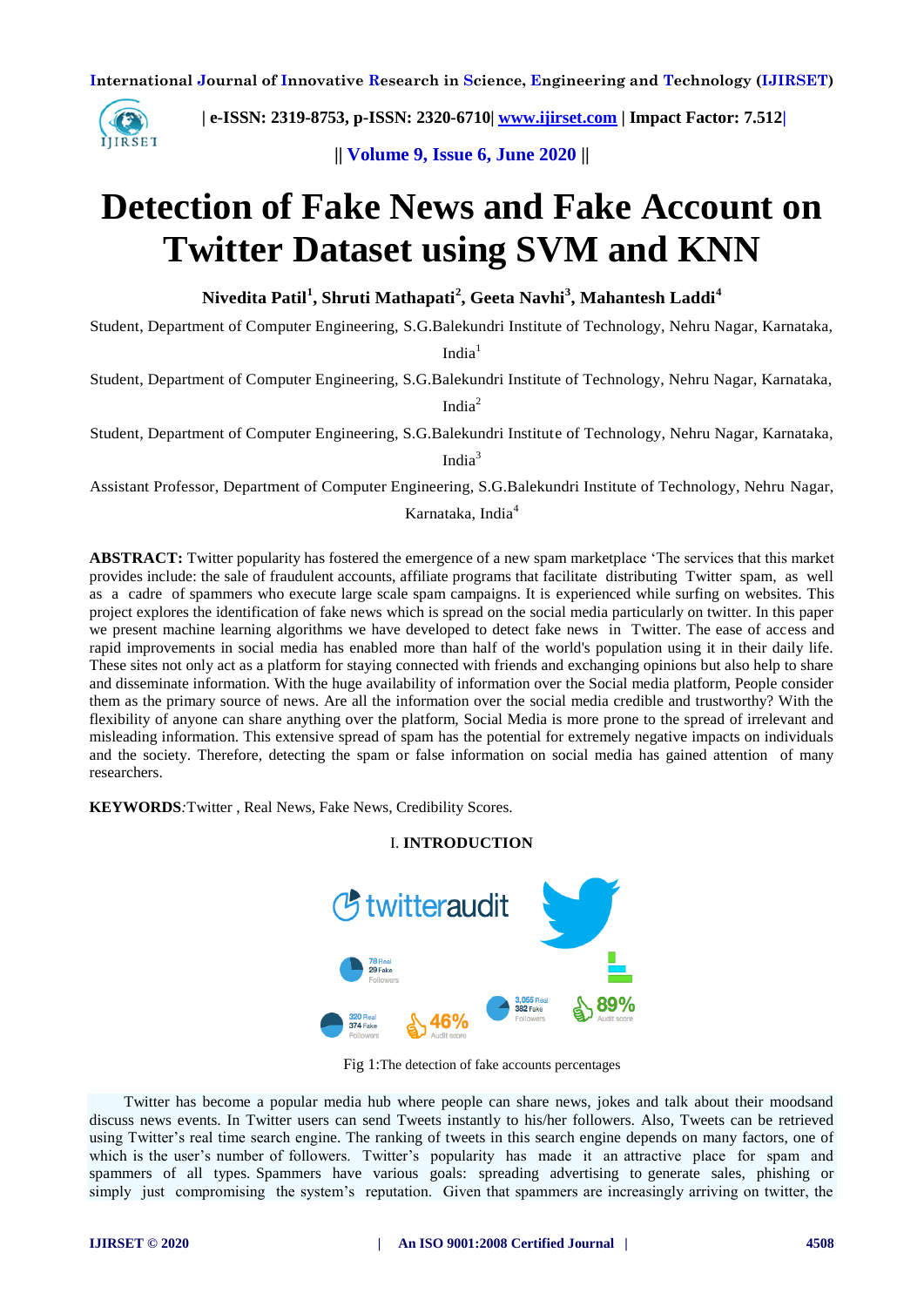

 **| e-ISSN: 2319-8753, p-ISSN: 2320-6710| [www.ijirset.com](http://www.ijirset.com/) | Impact Factor: 7.512|**

**|| Volume 9, Issue 6, June 2020 ||** 

# **Detection of Fake News and Fake Account on Twitter Dataset using SVM and KNN**

**Nivedita Patil<sup>1</sup> , Shruti Mathapati<sup>2</sup> , Geeta Navhi<sup>3</sup> , Mahantesh Laddi<sup>4</sup>**

Student, Department of Computer Engineering, S.G.Balekundri Institute of Technology, Nehru Nagar, Karnataka,

 $India<sup>1</sup>$ 

Student, Department of Computer Engineering, S.G.Balekundri Institute of Technology, Nehru Nagar, Karnataka,

India<sup>2</sup>

Student, Department of Computer Engineering, S.G.Balekundri Institute of Technology, Nehru Nagar, Karnataka, India<sup>3</sup>

Assistant Professor, Department of Computer Engineering, S.G.Balekundri Institute of Technology, Nehru Nagar,

Karnataka, India<sup>4</sup>

**ABSTRACT:** Twitter popularity has fostered the emergence of a new spam marketplace 'The services that this market provides include: the sale of fraudulent accounts, affiliate programs that facilitate distributing Twitter spam, as well as a cadre of spammers who execute large scale spam campaigns. It is experienced while surfing on websites. This project explores the identification of fake news which is spread on the social media particularly on twitter. In this paper we present machine learning algorithms we have developed to detect fake news in Twitter. The ease of access and rapid improvements in social media has enabled more than half of the world's population using it in their daily life. These sites not only act as a platform for staying connected with friends and exchanging opinions but also help to share and disseminate information. With the huge availability of information over the Social media platform, People consider them as the primary source of news. Are all the information over the social media credible and trustworthy? With the flexibility of anyone can share anything over the platform, Social Media is more prone to the spread of irrelevant and misleading information. This extensive spread of spam has the potential for extremely negative impacts on individuals and the society. Therefore, detecting the spam or false information on social media has gained attention of many researchers.

I. **INTRODUCTION**

**KEYWORDS***:*Twitter , Real News, Fake News, Credibility Scores.



Fig 1:The detection of fake accounts percentages

Twitter has become a popular media hub where people can share news, jokes and talk about their moodsand discuss news events. In Twitter users can send Tweets instantly to his/her followers. Also, Tweets can be retrieved using Twitter's real time search engine. The ranking of tweets in this search engine depends on many factors, one of which is the user's number of followers. Twitter's popularity has made it an attractive place for spam and spammers of all types. Spammers have various goals: spreading advertising to generate sales, phishing or simply just compromising the system's reputation. Given that spammers are increasingly arriving on twitter, the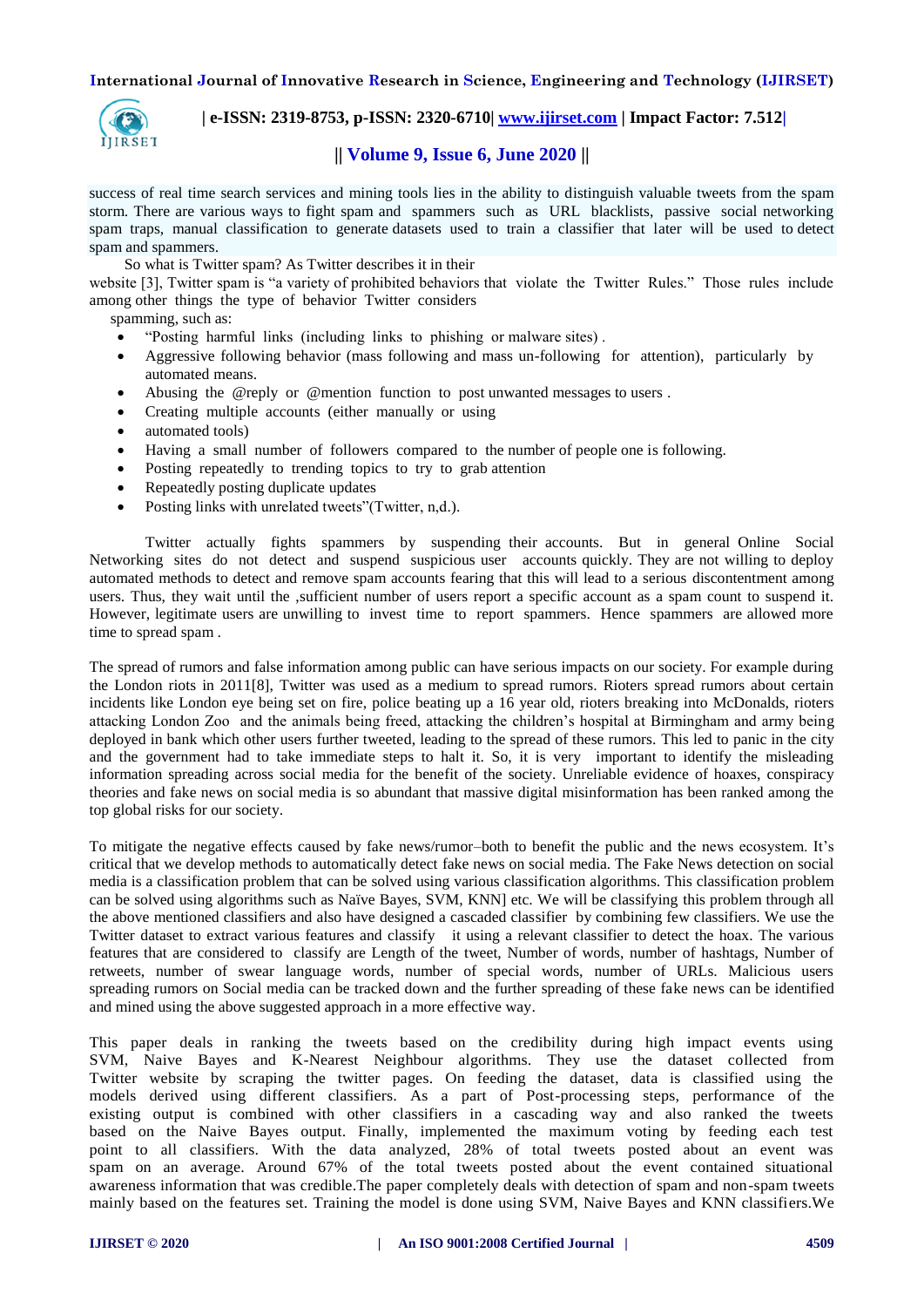

 **| e-ISSN: 2319-8753, p-ISSN: 2320-6710| [www.ijirset.com](http://www.ijirset.com/) | Impact Factor: 7.512|**

# **|| Volume 9, Issue 6, June 2020 ||**

success of real time search services and mining tools lies in the ability to distinguish valuable tweets from the spam storm. There are various ways to fight spam and spammers such as URL blacklists, passive social networking spam traps, manual classification to generate datasets used to train a classifier that later will be used to detect spam and spammers.

So what is Twitter spam? As Twitter describes it in their

website [3], Twitter spam is "a variety of prohibited behaviors that violate the Twitter Rules." Those rules include among other things the type of behavior Twitter considers

spamming, such as:

- "Posting harmful links (including links to phishing or malware sites) .
- Aggressive following behavior (mass following and mass un-following for attention), particularly by automated means.
- Abusing the @reply or @mention function to post unwanted messages to users .
- Creating multiple accounts (either manually or using
- automated tools)
- Having a small number of followers compared to the number of people one is following.
- Posting repeatedly to trending topics to try to grab attention
- Repeatedly posting duplicate updates
- Posting links with unrelated tweets"(Twitter, n,d.).

Twitter actually fights spammers by suspending their accounts. But in general Online Social Networking sites do not detect and suspend suspicious user accounts quickly. They are not willing to deploy automated methods to detect and remove spam accounts fearing that this will lead to a serious discontentment among users. Thus, they wait until the ,sufficient number of users report a specific account as a spam count to suspend it. However, legitimate users are unwilling to invest time to report spammers. Hence spammers are allowed more time to spread spam .

The spread of rumors and false information among public can have serious impacts on our society. For example during the London riots in 2011[8], Twitter was used as a medium to spread rumors. Rioters spread rumors about certain incidents like London eye being set on fire, police beating up a 16 year old, rioters breaking into McDonalds, rioters attacking London Zoo and the animals being freed, attacking the children's hospital at Birmingham and army being deployed in bank which other users further tweeted, leading to the spread of these rumors. This led to panic in the city and the government had to take immediate steps to halt it. So, it is very important to identify the misleading information spreading across social media for the benefit of the society. Unreliable evidence of hoaxes, conspiracy theories and fake news on social media is so abundant that massive digital misinformation has been ranked among the top global risks for our society.

To mitigate the negative effects caused by fake news/rumor–both to benefit the public and the news ecosystem. It's critical that we develop methods to automatically detect fake news on social media. The Fake News detection on social media is a classification problem that can be solved using various classification algorithms. This classification problem can be solved using algorithms such as Naïve Bayes, SVM, KNN] etc. We will be classifying this problem through all the above mentioned classifiers and also have designed a cascaded classifier by combining few classifiers. We use the Twitter dataset to extract various features and classify it using a relevant classifier to detect the hoax. The various features that are considered to classify are Length of the tweet, Number of words, number of hashtags, Number of retweets, number of swear language words, number of special words, number of URLs. Malicious users spreading rumors on Social media can be tracked down and the further spreading of these fake news can be identified and mined using the above suggested approach in a more effective way.

This paper deals in ranking the tweets based on the credibility during high impact events using SVM, Naive Bayes and K-Nearest Neighbour algorithms. They use the dataset collected from Twitter website by scraping the twitter pages. On feeding the dataset, data is classified using the models derived using different classifiers. As a part of Post-processing steps, performance of the existing output is combined with other classifiers in a cascading way and also ranked the tweets based on the Naive Bayes output. Finally, implemented the maximum voting by feeding each test point to all classifiers. With the data analyzed, 28% of total tweets posted about an event was spam on an average. Around 67% of the total tweets posted about the event contained situational awareness information that was credible.The paper completely deals with detection of spam and non-spam tweets mainly based on the features set. Training the model is done using SVM, Naive Bayes and KNN classifiers.We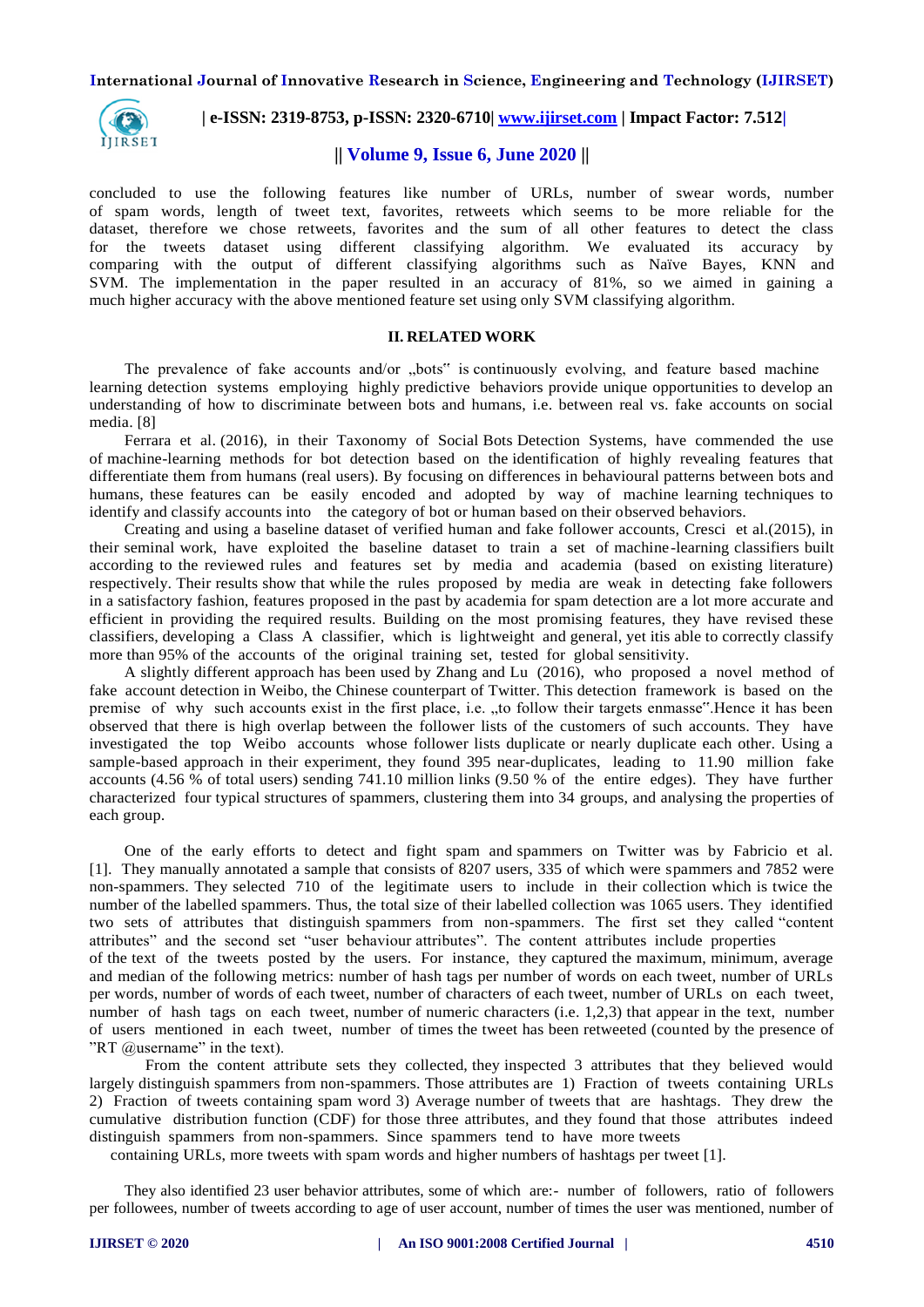

## **| e-ISSN: 2319-8753, p-ISSN: 2320-6710| [www.ijirset.com](http://www.ijirset.com/) | Impact Factor: 7.512|**

# **|| Volume 9, Issue 6, June 2020 ||**

concluded to use the following features like number of URLs, number of swear words, number of spam words, length of tweet text, favorites, retweets which seems to be more reliable for the dataset, therefore we chose retweets, favorites and the sum of all other features to detect the class for the tweets dataset using different classifying algorithm. We evaluated its accuracy by comparing with the output of different classifying algorithms such as Naïve Bayes, KNN and SVM. The implementation in the paper resulted in an accuracy of 81%, so we aimed in gaining a much higher accuracy with the above mentioned feature set using only SVM classifying algorithm.

### **II. RELATED WORK**

The prevalence of fake accounts and/or "bots" is continuously evolving, and feature based machine learning detection systems employing highly predictive behaviors provide unique opportunities to develop an understanding of how to discriminate between bots and humans, i.e. between real vs. fake accounts on social media. [8]

Ferrara et al. (2016), in their Taxonomy of Social Bots Detection Systems, have commended the use of machine-learning methods for bot detection based on the identification of highly revealing features that differentiate them from humans (real users). By focusing on differences in behavioural patterns between bots and humans, these features can be easily encoded and adopted by way of machine learning techniques to identify and classify accounts into the category of bot or human based on their observed behaviors.

Creating and using a baseline dataset of verified human and fake follower accounts, Cresci et al.(2015), in their seminal work, have exploited the baseline dataset to train a set of machine-learning classifiers built according to the reviewed rules and features set by media and academia (based on existing literature) respectively. Their results show that while the rules proposed by media are weak in detecting fake followers in a satisfactory fashion, features proposed in the past by academia for spam detection are a lot more accurate and efficient in providing the required results. Building on the most promising features, they have revised these classifiers, developing a Class A classifier, which is lightweight and general, yet itis able to correctly classify more than 95% of the accounts of the original training set, tested for global sensitivity.

A slightly different approach has been used by Zhang and Lu (2016), who proposed a novel method of fake account detection in Weibo, the Chinese counterpart of Twitter. This detection framework is based on the premise of why such accounts exist in the first place, i.e. "to follow their targets enmasse".Hence it has been observed that there is high overlap between the follower lists of the customers of such accounts. They have investigated the top Weibo accounts whose follower lists duplicate or nearly duplicate each other. Using a sample-based approach in their experiment, they found 395 near-duplicates, leading to 11.90 million fake accounts (4.56 % of total users) sending 741.10 million links (9.50 % of the entire edges). They have further characterized four typical structures of spammers, clustering them into 34 groups, and analysing the properties of each group.

One of the early efforts to detect and fight spam and spammers on Twitter was by Fabricio et al. [1]. They manually annotated a sample that consists of 8207 users, 335 of which were spammers and 7852 were non-spammers. They selected 710 of the legitimate users to include in their collection which is twice the number of the labelled spammers. Thus, the total size of their labelled collection was 1065 users. They identified two sets of attributes that distinguish spammers from non-spammers. The first set they called "content attributes" and the second set "user behaviour attributes". The content attributes include properties of the text of the tweets posted by the users. For instance, they captured the maximum, minimum, average and median of the following metrics: number of hash tags per number of words on each tweet, number of URLs per words, number of words of each tweet, number of characters of each tweet, number of URLs on each tweet, number of hash tags on each tweet, number of numeric characters (i.e. 1,2,3) that appear in the text, number of users mentioned in each tweet, number of times the tweet has been retweeted (counted by the presence of "RT  $@$ username" in the text).

From the content attribute sets they collected, they inspected 3 attributes that they believed would largely distinguish spammers from non-spammers. Those attributes are 1) Fraction of tweets containing URLs 2) Fraction of tweets containing spam word 3) Average number of tweets that are hashtags. They drew the cumulative distribution function (CDF) for those three attributes, and they found that those attributes indeed distinguish spammers from non-spammers. Since spammers tend to have more tweets

containing URLs, more tweets with spam words and higher numbers of hashtags per tweet [1].

They also identified 23 user behavior attributes, some of which are:- number of followers, ratio of followers per followees, number of tweets according to age of user account, number of times the user was mentioned, number of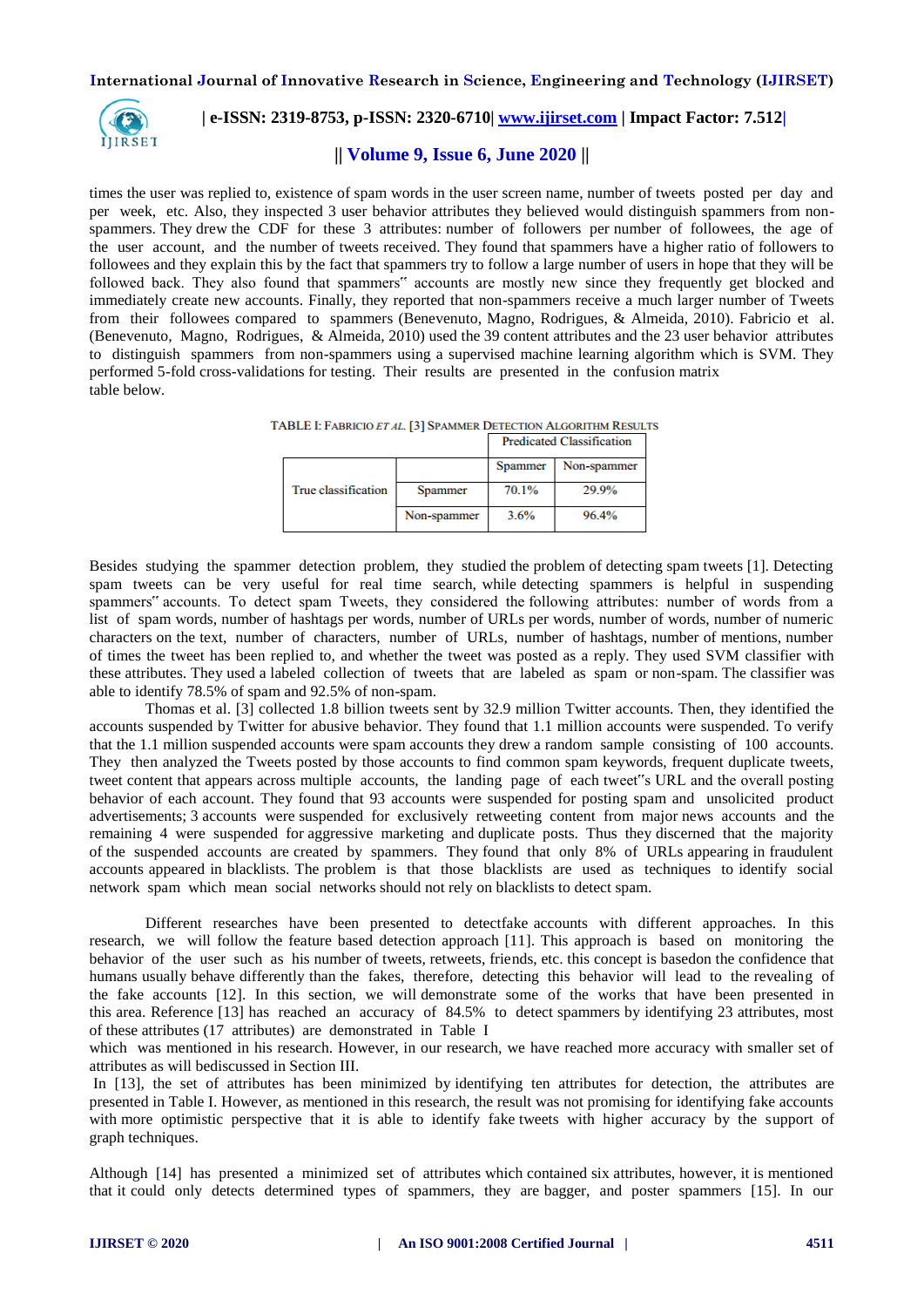

# **| e-ISSN: 2319-8753, p-ISSN: 2320-6710| [www.ijirset.com](http://www.ijirset.com/) | Impact Factor: 7.512|**

# **|| Volume 9, Issue 6, June 2020 ||**

times the user was replied to, existence of spam words in the user screen name, number of tweets posted per day and per week, etc. Also, they inspected 3 user behavior attributes they believed would distinguish spammers from nonspammers. They drew the CDF for these 3 attributes: number of followers per number of followees, the age of the user account, and the number of tweets received. They found that spammers have a higher ratio of followers to followees and they explain this by the fact that spammers try to follow a large number of users in hope that they will be followed back. They also found that spammers" accounts are mostly new since they frequently get blocked and immediately create new accounts. Finally, they reported that non-spammers receive a much larger number of Tweets from their followees compared to spammers (Benevenuto, Magno, Rodrigues, & Almeida, 2010). Fabricio et al. (Benevenuto, Magno, Rodrigues, & Almeida, 2010) used the 39 content attributes and the 23 user behavior attributes to distinguish spammers from non-spammers using a supervised machine learning algorithm which is SVM. They performed 5-fold cross-validations for testing. Their results are presented in the confusion matrix table below.

TABLE I: FABRICIO ET AL. [3] SPAMMER DETECTION ALGORITHM RESULTS Development Characteristics

|                     |             | гтепеатен славзитеаноп |             |
|---------------------|-------------|------------------------|-------------|
|                     |             | Spammer                | Non-spammer |
| True classification | Spammer     | 70.1%                  | 29.9%       |
|                     | Non-spammer | 3.6%                   | 96.4%       |

Besides studying the spammer detection problem, they studied the problem of detecting spam tweets [1]. Detecting spam tweets can be very useful for real time search, while detecting spammers is helpful in suspending spammers" accounts. To detect spam Tweets, they considered the following attributes: number of words from a list of spam words, number of hashtags per words, number of URLs per words, number of words, number of numeric characters on the text, number of characters, number of URLs, number of hashtags, number of mentions, number of times the tweet has been replied to, and whether the tweet was posted as a reply. They used SVM classifier with these attributes. They used a labeled collection of tweets that are labeled as spam or non-spam. The classifier was able to identify 78.5% of spam and 92.5% of non-spam.

Thomas et al. [3] collected 1.8 billion tweets sent by 32.9 million Twitter accounts. Then, they identified the accounts suspended by Twitter for abusive behavior. They found that 1.1 million accounts were suspended. To verify that the 1.1 million suspended accounts were spam accounts they drew a random sample consisting of 100 accounts. They then analyzed the Tweets posted by those accounts to find common spam keywords, frequent duplicate tweets, tweet content that appears across multiple accounts, the landing page of each tweet"s URL and the overall posting behavior of each account. They found that 93 accounts were suspended for posting spam and unsolicited product advertisements; 3 accounts were suspended for exclusively retweeting content from major news accounts and the remaining 4 were suspended for aggressive marketing and duplicate posts. Thus they discerned that the majority of the suspended accounts are created by spammers. They found that only 8% of URLs appearing in fraudulent accounts appeared in blacklists. The problem is that those blacklists are used as techniques to identify social network spam which mean social networks should not rely on blacklists to detect spam.

Different researches have been presented to detectfake accounts with different approaches. In this research, we will follow the feature based detection approach [11]. This approach is based on monitoring the behavior of the user such as his number of tweets, retweets, friends, etc. this concept is basedon the confidence that humans usually behave differently than the fakes, therefore, detecting this behavior will lead to the revealing of the fake accounts [12]. In this section, we will demonstrate some of the works that have been presented in this area. Reference [13] has reached an accuracy of 84.5% to detect spammers by identifying 23 attributes, most of these attributes (17 attributes) are demonstrated in Table I

which was mentioned in his research. However, in our research, we have reached more accuracy with smaller set of attributes as will bediscussed in Section III.

In [13], the set of attributes has been minimized by identifying ten attributes for detection, the attributes are presented in Table I. However, as mentioned in this research, the result was not promising for identifying fake accounts with more optimistic perspective that it is able to identify fake tweets with higher accuracy by the support of graph techniques.

Although [14] has presented a minimized set of attributes which contained six attributes, however, it is mentioned that it could only detects determined types of spammers, they are bagger, and poster spammers [15]. In our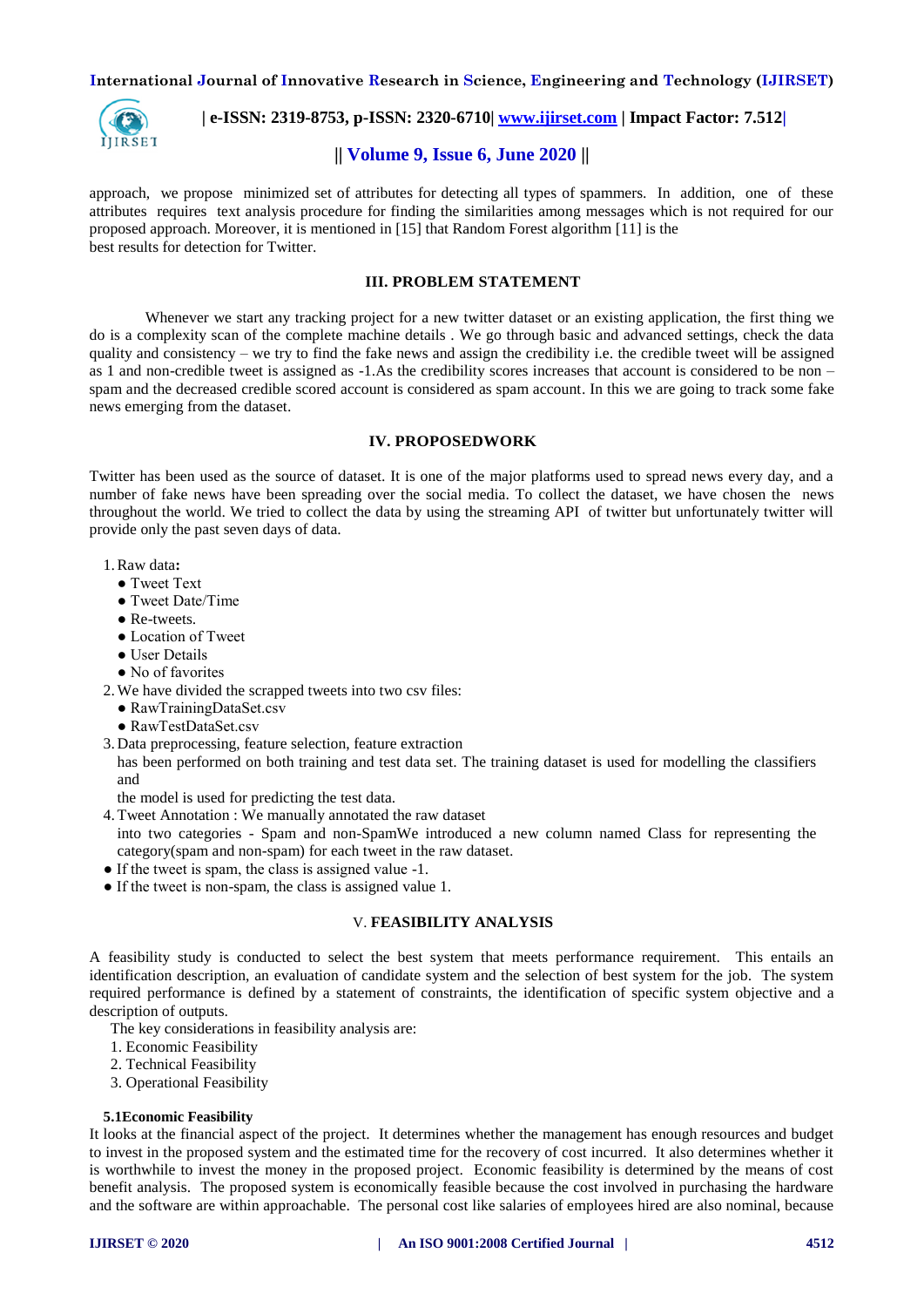

 **| e-ISSN: 2319-8753, p-ISSN: 2320-6710| [www.ijirset.com](http://www.ijirset.com/) | Impact Factor: 7.512|**

# **|| Volume 9, Issue 6, June 2020 ||**

approach, we propose minimized set of attributes for detecting all types of spammers. In addition, one of these attributes requires text analysis procedure for finding the similarities among messages which is not required for our proposed approach. Moreover, it is mentioned in [15] that Random Forest algorithm [11] is the best results for detection for Twitter.

## **III. PROBLEM STATEMENT**

Whenever we start any tracking project for a new twitter dataset or an existing application, the first thing we do is a complexity scan of the complete machine details . We go through basic and advanced settings, check the data quality and consistency – we try to find the fake news and assign the credibility i.e. the credible tweet will be assigned as 1 and non-credible tweet is assigned as -1.As the credibility scores increases that account is considered to be non – spam and the decreased credible scored account is considered as spam account. In this we are going to track some fake news emerging from the dataset.

## **IV. PROPOSEDWORK**

Twitter has been used as the source of dataset. It is one of the major platforms used to spread news every day, and a number of fake news have been spreading over the social media. To collect the dataset, we have chosen the news throughout the world. We tried to collect the data by using the streaming API of twitter but unfortunately twitter will provide only the past seven days of data.

- 1.Raw data**:**
	- Tweet Text
	- Tweet Date/Time
	- Re-tweets.
	- Location of Tweet
	- User Details
	- No of favorites
- 2.We have divided the scrapped tweets into two csv files:
	- RawTrainingDataSet.csv
	- RawTestDataSet.csv
- 3. Data preprocessing, feature selection, feature extraction has been performed on both training and test data set. The training dataset is used for modelling the classifiers and

the model is used for predicting the test data.

- 4.Tweet Annotation : We manually annotated the raw dataset
- into two categories Spam and non-SpamWe introduced a new column named Class for representing the category(spam and non-spam) for each tweet in the raw dataset.
- If the tweet is spam, the class is assigned value -1.
- If the tweet is non-spam, the class is assigned value 1.

#### V. **FEASIBILITY ANALYSIS**

A feasibility study is conducted to select the best system that meets performance requirement. This entails an identification description, an evaluation of candidate system and the selection of best system for the job. The system required performance is defined by a statement of constraints, the identification of specific system objective and a description of outputs.

The key considerations in feasibility analysis are:

- 1. Economic Feasibility
- 2. Technical Feasibility
- 3. Operational Feasibility

#### **5.1Economic Feasibility**

It looks at the financial aspect of the project. It determines whether the management has enough resources and budget to invest in the proposed system and the estimated time for the recovery of cost incurred. It also determines whether it is worthwhile to invest the money in the proposed project. Economic feasibility is determined by the means of cost benefit analysis. The proposed system is economically feasible because the cost involved in purchasing the hardware and the software are within approachable. The personal cost like salaries of employees hired are also nominal, because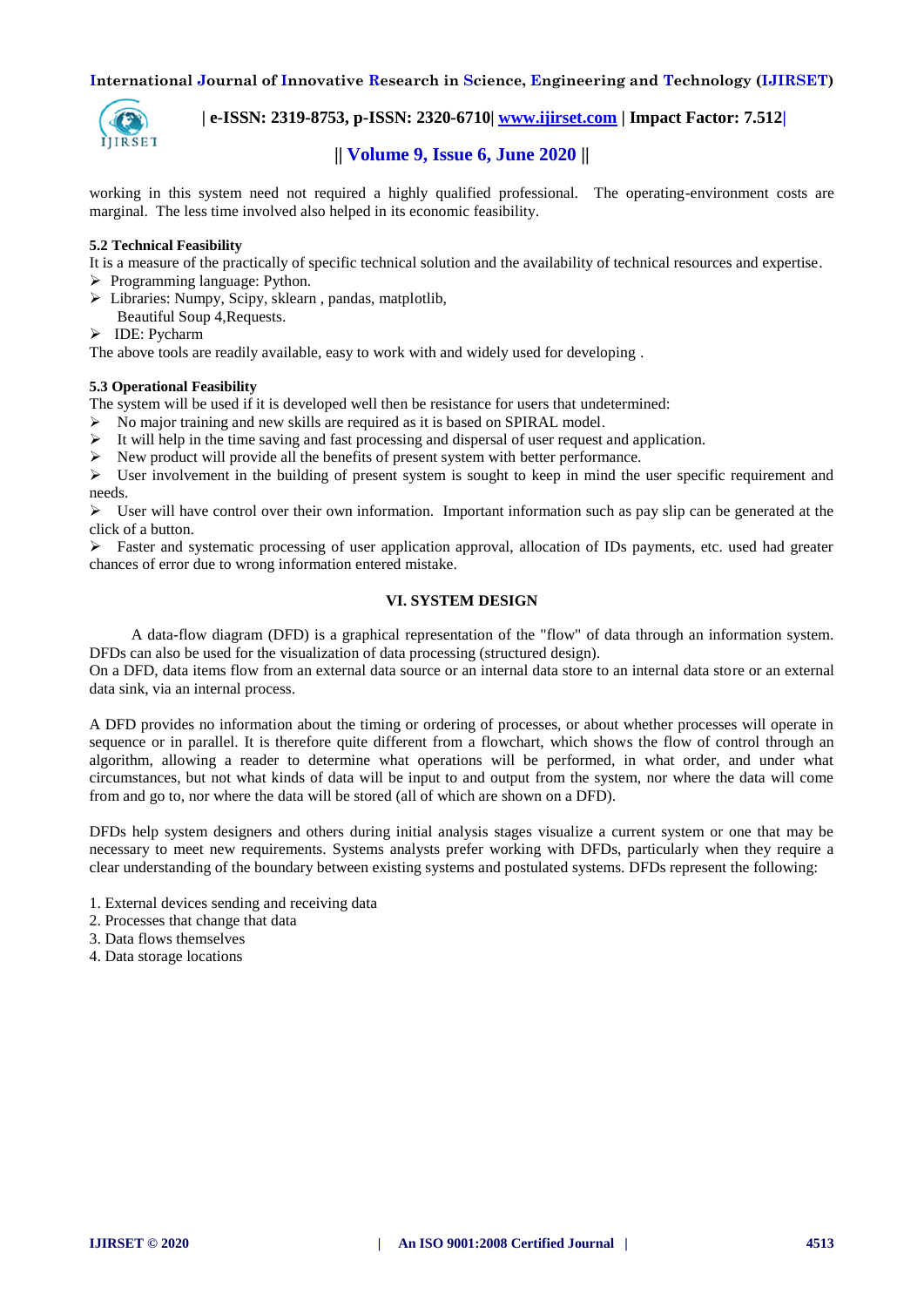

 **| e-ISSN: 2319-8753, p-ISSN: 2320-6710| [www.ijirset.com](http://www.ijirset.com/) | Impact Factor: 7.512|**

# **|| Volume 9, Issue 6, June 2020 ||**

working in this system need not required a highly qualified professional. The operating-environment costs are marginal. The less time involved also helped in its economic feasibility.

## **5.2 Technical Feasibility**

It is a measure of the practically of specific technical solution and the availability of technical resources and expertise.

- $\triangleright$  Programming language: Python.
- Libraries: Numpy, Scipy, sklearn , pandas, matplotlib, Beautiful Soup 4,Requests.
- > IDE: Pycharm

The above tools are readily available, easy to work with and widely used for developing .

## **5.3 Operational Feasibility**

The system will be used if it is developed well then be resistance for users that undetermined:

- $\triangleright$  No major training and new skills are required as it is based on SPIRAL model.
- $\triangleright$  It will help in the time saving and fast processing and dispersal of user request and application.
- $\triangleright$  New product will provide all the benefits of present system with better performance.

 User involvement in the building of present system is sought to keep in mind the user specific requirement and needs.

 $\triangleright$  User will have control over their own information. Important information such as pay slip can be generated at the click of a button.

 $\triangleright$  Faster and systematic processing of user application approval, allocation of IDs payments, etc. used had greater chances of error due to wrong information entered mistake.

## **VI. SYSTEM DESIGN**

A data-flow diagram (DFD) is a graphical representation of the "flow" of data through an information system. DFDs can also be used for the visualization of data processing (structured design).

On a DFD, data items flow from an external data source or an internal data store to an internal data store or an external data sink, via an internal process.

A DFD provides no information about the timing or ordering of processes, or about whether processes will operate in sequence or in parallel. It is therefore quite different from a flowchart, which shows the flow of control through an algorithm, allowing a reader to determine what operations will be performed, in what order, and under what circumstances, but not what kinds of data will be input to and output from the system, nor where the data will come from and go to, nor where the data will be stored (all of which are shown on a DFD).

DFDs help system designers and others during initial analysis stages visualize a current system or one that may be necessary to meet new requirements. Systems analysts prefer working with DFDs, particularly when they require a clear understanding of the boundary between existing systems and postulated systems. DFDs represent the following:

- 1. External devices sending and receiving data
- 2. Processes that change that data
- 3. Data flows themselves
- 4. Data storage locations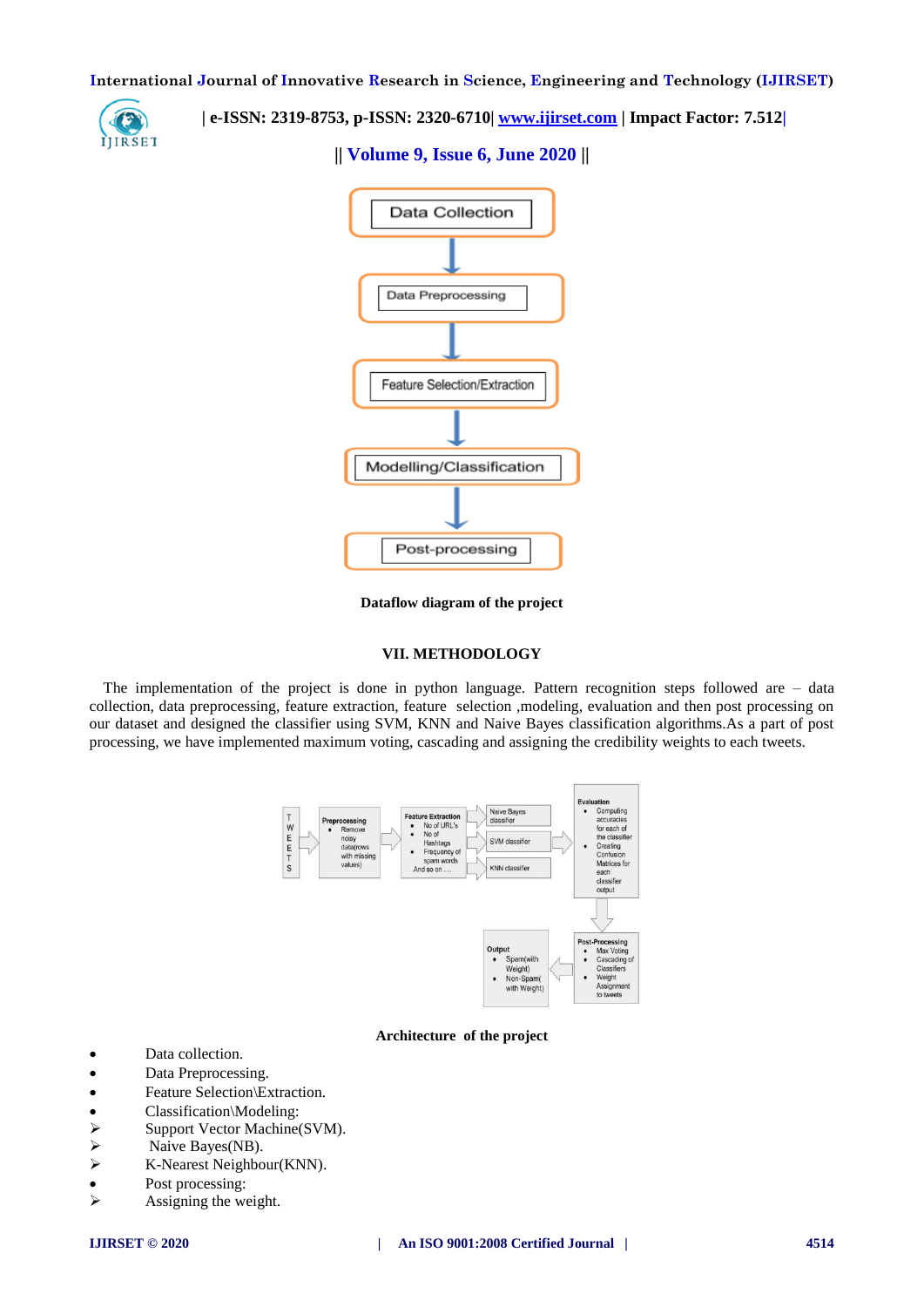

 **| e-ISSN: 2319-8753, p-ISSN: 2320-6710| [www.ijirset.com](http://www.ijirset.com/) | Impact Factor: 7.512|**

# **|| Volume 9, Issue 6, June 2020 ||**



**Dataflow diagram of the project**

#### **VII. METHODOLOGY**

The implementation of the project is done in python language. Pattern recognition steps followed are – data collection, data preprocessing, feature extraction, feature selection ,modeling, evaluation and then post processing on our dataset and designed the classifier using SVM, KNN and Naive Bayes classification algorithms.As a part of post processing, we have implemented maximum voting, cascading and assigning the credibility weights to each tweets.



#### **Architecture of the project**

- Data collection.
- Data Preprocessing.
- Feature Selection\Extraction.
- 
- Classification\Modeling:<br>
> Support Vector Machinee<br>
> Naive Bayes(NB). Support Vector Machine(SVM).
- $\triangleright$  Naive Bayes(NB).<br> $\triangleright$  K-Nearest Neighbo
- K-Nearest Neighbour(KNN).
- Post processing:
- $\triangleright$  Assigning the weight.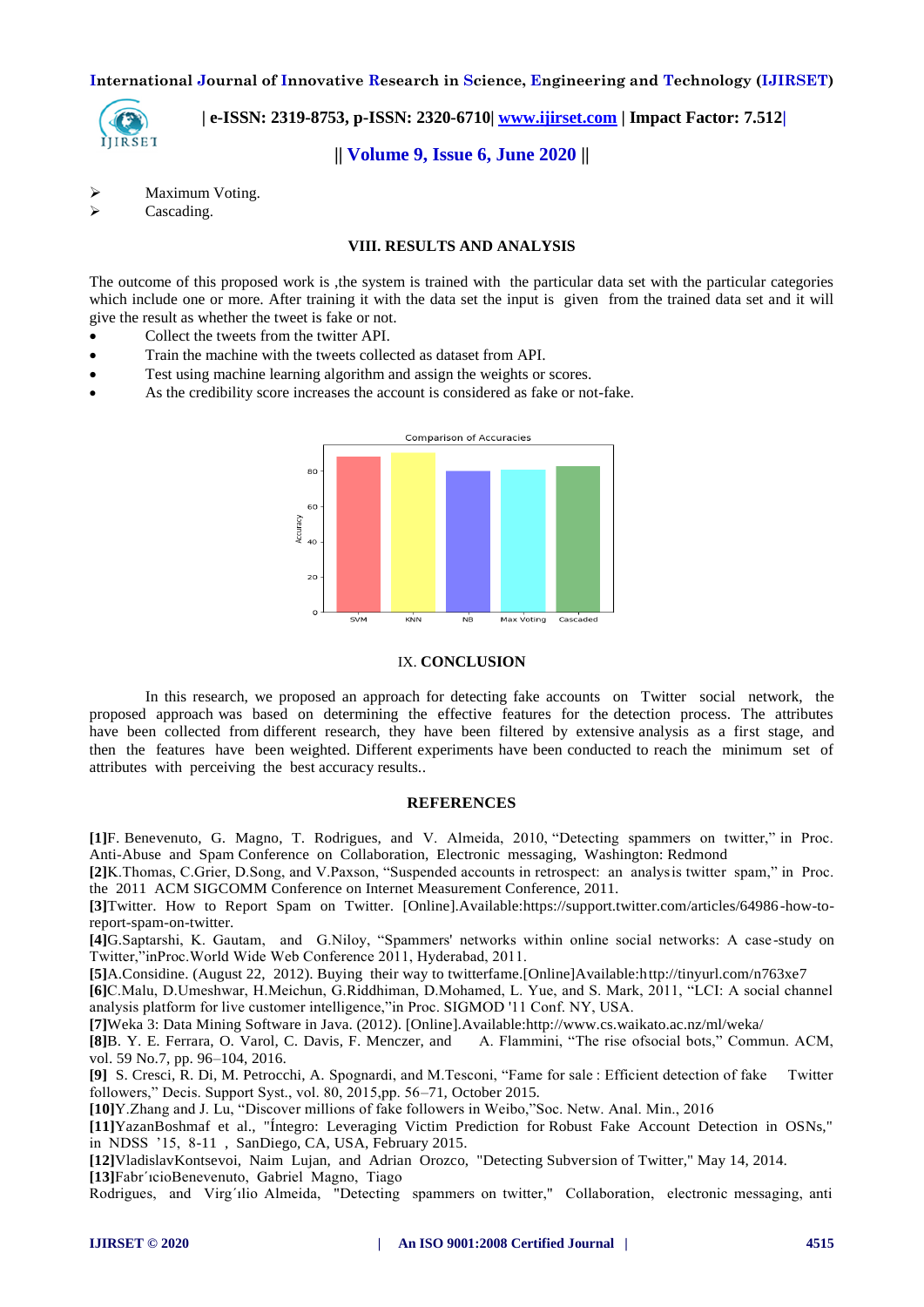

 **| e-ISSN: 2319-8753, p-ISSN: 2320-6710| [www.ijirset.com](http://www.ijirset.com/) | Impact Factor: 7.512|**

**|| Volume 9, Issue 6, June 2020 ||** 

> Maximum Voting.

> Cascading.

## **VIII. RESULTS AND ANALYSIS**

The outcome of this proposed work is ,the system is trained with the particular data set with the particular categories which include one or more. After training it with the data set the input is given from the trained data set and it will give the result as whether the tweet is fake or not.

- Collect the tweets from the twitter API.
- Train the machine with the tweets collected as dataset from API.
- Test using machine learning algorithm and assign the weights or scores.
- As the credibility score increases the account is considered as fake or not-fake.



#### IX. **CONCLUSION**

In this research, we proposed an approach for detecting fake accounts on Twitter social network, the proposed approach was based on determining the effective features for the detection process. The attributes have been collected from different research, they have been filtered by extensive analysis as a first stage, and then the features have been weighted. Different experiments have been conducted to reach the minimum set of attributes with perceiving the best accuracy results..

#### **REFERENCES**

**[1]**F. Benevenuto, G. Magno, T. Rodrigues, and V. Almeida, 2010, "Detecting spammers on twitter," in Proc. Anti-Abuse and Spam Conference on Collaboration, Electronic messaging, Washington: Redmond

**[2]**K.Thomas, C.Grier, D.Song, and V.Paxson, "Suspended accounts in retrospect: an analysis twitter spam," in Proc. the 2011 ACM SIGCOMM Conference on Internet Measurement Conference, 2011.

**[3]**Twitter. How to Report Spam on Twitter. [Online].Available:https://support.twitter.com/articles/64986-how-toreport-spam-on-twitter.

**[4]**G.Saptarshi, K. Gautam, and G.Niloy, "Spammers' networks within online social networks: A case -study on Twitter,"inProc.World Wide Web Conference 2011, Hyderabad, 2011.

**[5]**A.Considine. (August 22, 2012). Buying their way to twitterfame.[Online]Available:http://tinyurl.com/n763xe7

**[6]**C.Malu, D.Umeshwar, H.Meichun, G.Riddhiman, D.Mohamed, L. Yue, and S. Mark, 2011, "LCI: A social channel analysis platform for live customer intelligence,"in Proc. SIGMOD '11 Conf. NY, USA.

**[7]**Weka 3: Data Mining Software in Java. (2012). [Online].Available:http://www.cs.waikato.ac.nz/ml/weka/

[8]B. Y. E. Ferrara, O. Varol, C. Davis, F. Menczer, and A. Flammini, "The rise ofsocial bots," Commun. ACM, vol. 59 No.7, pp. 96–104, 2016.

**[9]** S. Cresci, R. Di, M. Petrocchi, A. Spognardi, and M.Tesconi, "Fame for sale : Efficient detection of fake Twitter followers," Decis. Support Syst., vol. 80, 2015,pp. 56–71, October 2015.

**[10]**Y.Zhang and J. Lu, "Discover millions of fake followers in Weibo,"Soc. Netw. Anal. Min., 2016

**[11]**YazanBoshmaf et al., "Íntegro: Leveraging Victim Prediction for Robust Fake Account Detection in OSNs," in NDSS '15, 8-11 , SanDiego, CA, USA, February 2015.

**[12]**VladislavKontsevoi, Naim Lujan, and Adrian Orozco, "Detecting Subversion of Twitter," May 14, 2014. **[13]**Fabr´ıcioBenevenuto, Gabriel Magno, Tiago

Rodrigues, and Virg´ılio Almeida, "Detecting spammers on twitter," Collaboration, electronic messaging, anti